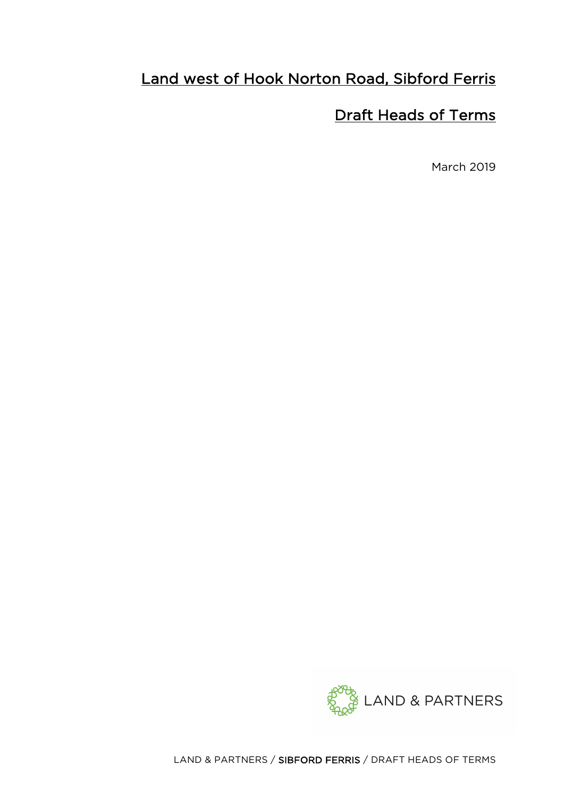# Land west of Hook Norton Road, Sibford Ferris

# Draft Heads of Terms

March 2019

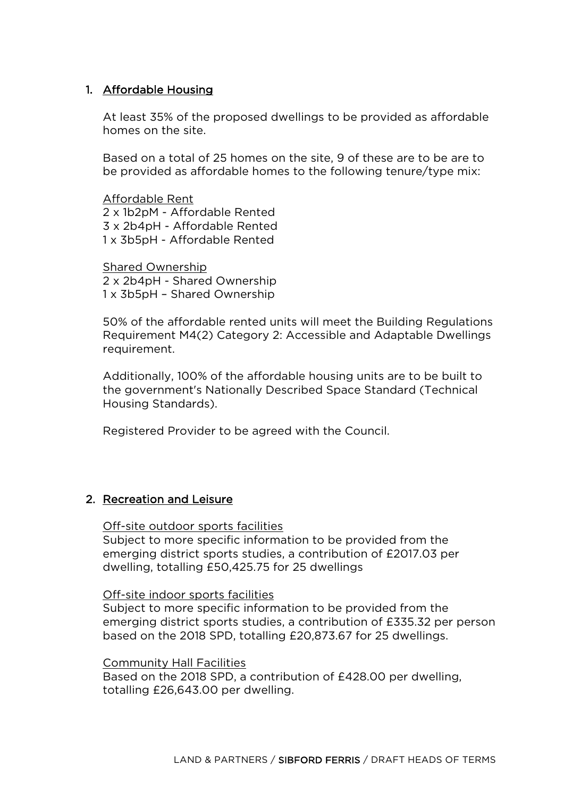# 1. Affordable Housing

At least 35% of the proposed dwellings to be provided as affordable homes on the site.

Based on a total of 25 homes on the site, 9 of these are to be are to be provided as affordable homes to the following tenure/type mix:

Affordable Rent 2 x 1b2pM - Affordable Rented 3 x 2b4pH - Affordable Rented 1 x 3b5pH - Affordable Rented

Shared Ownership 2 x 2b4pH - Shared Ownership 1 x 3b5pH – Shared Ownership

50% of the affordable rented units will meet the Building Regulations Requirement M4(2) Category 2: Accessible and Adaptable Dwellings requirement.

Additionally, 100% of the affordable housing units are to be built to the government's Nationally Described Space Standard (Technical Housing Standards).

Registered Provider to be agreed with the Council.

## 2. Recreation and Leisure

#### Off-site outdoor sports facilities

Subject to more specific information to be provided from the emerging district sports studies, a contribution of £2017.03 per dwelling, totalling £50,425.75 for 25 dwellings

#### Off-site indoor sports facilities

Subject to more specific information to be provided from the emerging district sports studies, a contribution of £335.32 per person based on the 2018 SPD, totalling £20,873.67 for 25 dwellings.

#### Community Hall Facilities

Based on the 2018 SPD, a contribution of £428.00 per dwelling, totalling £26,643.00 per dwelling.